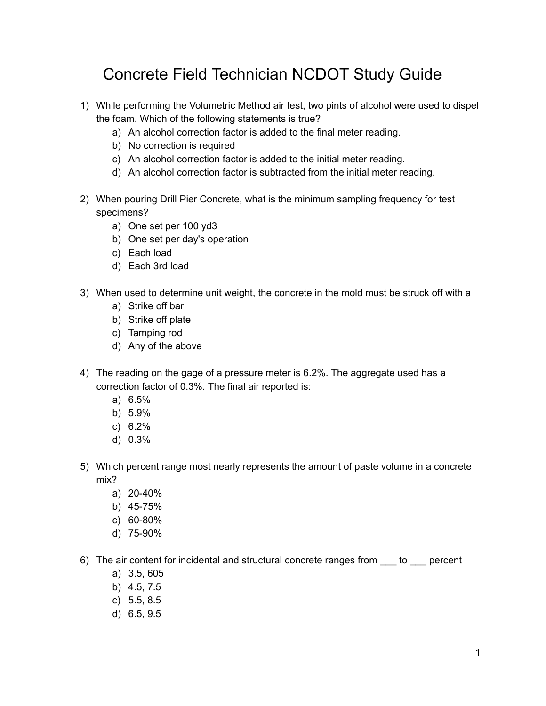## Concrete Field Technician NCDOT Study Guide

- 1) While performing the Volumetric Method air test, two pints of alcohol were used to dispel the foam. Which of the following statements is true?
	- a) An alcohol correction factor is added to the final meter reading.
	- b) No correction is required
	- c) An alcohol correction factor is added to the initial meter reading.
	- d) An alcohol correction factor is subtracted from the initial meter reading.
- 2) When pouring Drill Pier Concrete, what is the minimum sampling frequency for test specimens?
	- a) One set per 100 yd3
	- b) One set per day's operation
	- c) Each load
	- d) Each 3rd load
- 3) When used to determine unit weight, the concrete in the mold must be struck off with a
	- a) Strike off bar
	- b) Strike off plate
	- c) Tamping rod
	- d) Any of the above
- 4) The reading on the gage of a pressure meter is 6.2%. The aggregate used has a correction factor of 0.3%. The final air reported is:
	- a) 6.5%
	- b) 5.9%
	- c) 6.2%
	- d) 0.3%
- 5) Which percent range most nearly represents the amount of paste volume in a concrete mix?
	- a) 20-40%
	- b) 45-75%
	- c) 60-80%
	- d) 75-90%
- 6) The air content for incidental and structural concrete ranges from to percent
	- a) 3.5, 605
	- b) 4.5, 7.5
	- c) 5.5, 8.5
	- d) 6.5, 9.5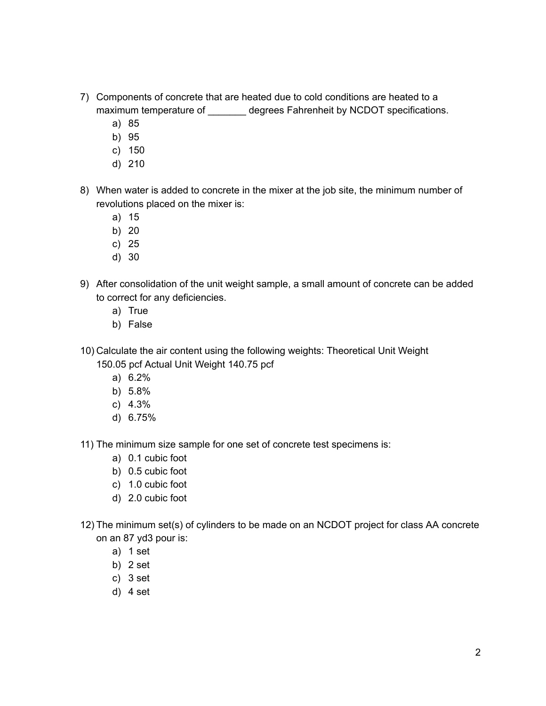- 7) Components of concrete that are heated due to cold conditions are heated to a maximum temperature of \_\_\_\_\_\_\_ degrees Fahrenheit by NCDOT specifications.
	- a) 85
	- b) 95
	- c) 150
	- d) 210
- 8) When water is added to concrete in the mixer at the job site, the minimum number of revolutions placed on the mixer is:
	- a) 15
	- b) 20
	- c) 25
	- d) 30
- 9) After consolidation of the unit weight sample, a small amount of concrete can be added to correct for any deficiencies.
	- a) True
	- b) False
- 10) Calculate the air content using the following weights: Theoretical Unit Weight 150.05 pcf Actual Unit Weight 140.75 pcf
	- a) 6.2%
	- b) 5.8%
	- c) 4.3%
	- d) 6.75%
- 11) The minimum size sample for one set of concrete test specimens is:
	- a) 0.1 cubic foot
	- b) 0.5 cubic foot
	- c) 1.0 cubic foot
	- d) 2.0 cubic foot
- 12) The minimum set(s) of cylinders to be made on an NCDOT project for class AA concrete on an 87 yd3 pour is:
	- a) 1 set
	- b) 2 set
	- c) 3 set
	- d) 4 set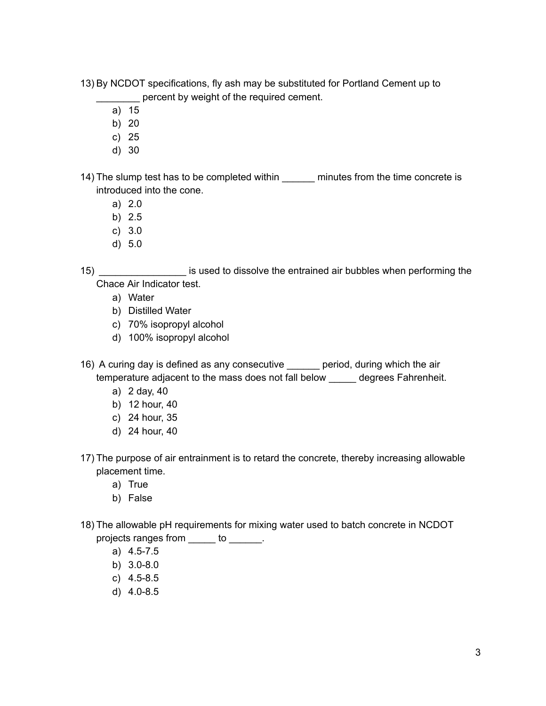- 13) By NCDOT specifications, fly ash may be substituted for Portland Cement up to percent by weight of the required cement.
	- a) 15
	- b) 20
	- c) 25
	- d) 30

14) The slump test has to be completed within \_\_\_\_\_\_ minutes from the time concrete is introduced into the cone.

- a) 2.0
- b) 2.5
- c) 3.0
- d) 5.0

15) \_\_\_\_\_\_\_\_\_\_\_\_\_\_\_\_ is used to dissolve the entrained air bubbles when performing the Chace Air Indicator test.

- a) Water
- b) Distilled Water
- c) 70% isopropyl alcohol
- d) 100% isopropyl alcohol

16) A curing day is defined as any consecutive **period**, during which the air temperature adjacent to the mass does not fall below \_\_\_\_\_ degrees Fahrenheit.

- a) 2 day, 40
- b) 12 hour, 40
- c) 24 hour, 35
- d) 24 hour, 40
- 17) The purpose of air entrainment is to retard the concrete, thereby increasing allowable placement time.
	- a) True
	- b) False
- 18) The allowable pH requirements for mixing water used to batch concrete in NCDOT projects ranges from \_\_\_\_\_ to \_\_\_\_\_\_.
	- a) 4.5-7.5
	- b) 3.0-8.0
	- c) 4.5-8.5
	- d) 4.0-8.5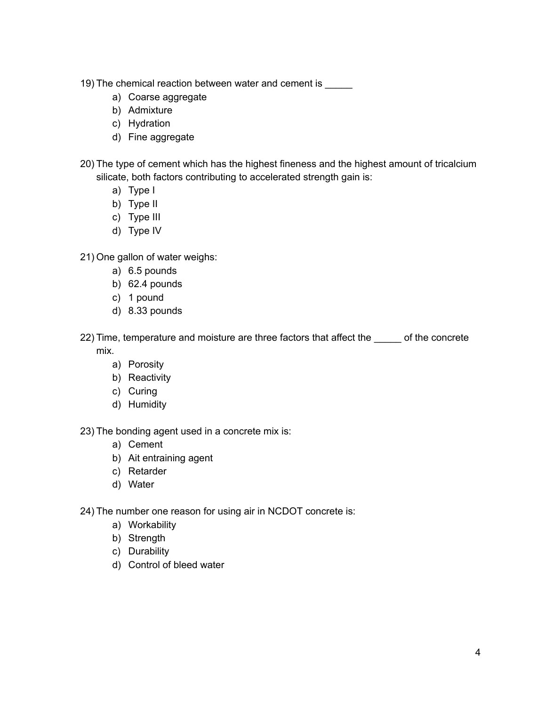- 19) The chemical reaction between water and cement is
	- a) Coarse aggregate
	- b) Admixture
	- c) Hydration
	- d) Fine aggregate
- 20) The type of cement which has the highest fineness and the highest amount of tricalcium silicate, both factors contributing to accelerated strength gain is:
	- a) Type I
	- b) Type II
	- c) Type III
	- d) Type IV
- 21) One gallon of water weighs:
	- a) 6.5 pounds
	- b) 62.4 pounds
	- c) 1 pound
	- d) 8.33 pounds
- 22) Time, temperature and moisture are three factors that affect the onerete mix.
	- a) Porosity
	- b) Reactivity
	- c) Curing
	- d) Humidity

23) The bonding agent used in a concrete mix is:

- a) Cement
- b) Ait entraining agent
- c) Retarder
- d) Water

24) The number one reason for using air in NCDOT concrete is:

- a) Workability
- b) Strength
- c) Durability
- d) Control of bleed water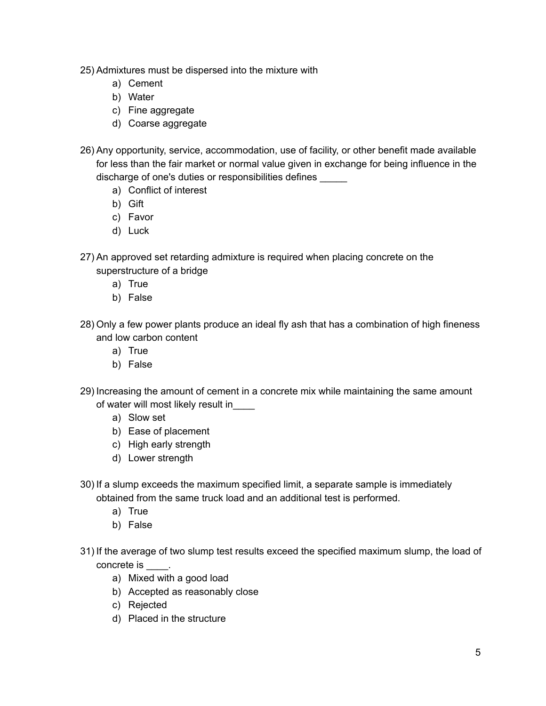- 25) Admixtures must be dispersed into the mixture with
	- a) Cement
	- b) Water
	- c) Fine aggregate
	- d) Coarse aggregate
- 26) Any opportunity, service, accommodation, use of facility, or other benefit made available for less than the fair market or normal value given in exchange for being influence in the discharge of one's duties or responsibilities defines \_\_\_\_\_
	- a) Conflict of interest
	- b) Gift
	- c) Favor
	- d) Luck
- 27) An approved set retarding admixture is required when placing concrete on the superstructure of a bridge
	- a) True
	- b) False
- 28) Only a few power plants produce an ideal fly ash that has a combination of high fineness and low carbon content
	- a) True
	- b) False
- 29) Increasing the amount of cement in a concrete mix while maintaining the same amount of water will most likely result in\_\_\_\_
	- a) Slow set
	- b) Ease of placement
	- c) High early strength
	- d) Lower strength
- 30) If a slump exceeds the maximum specified limit, a separate sample is immediately obtained from the same truck load and an additional test is performed.
	- a) True
	- b) False
- 31) If the average of two slump test results exceed the specified maximum slump, the load of concrete is \_\_\_\_.
	- a) Mixed with a good load
	- b) Accepted as reasonably close
	- c) Rejected
	- d) Placed in the structure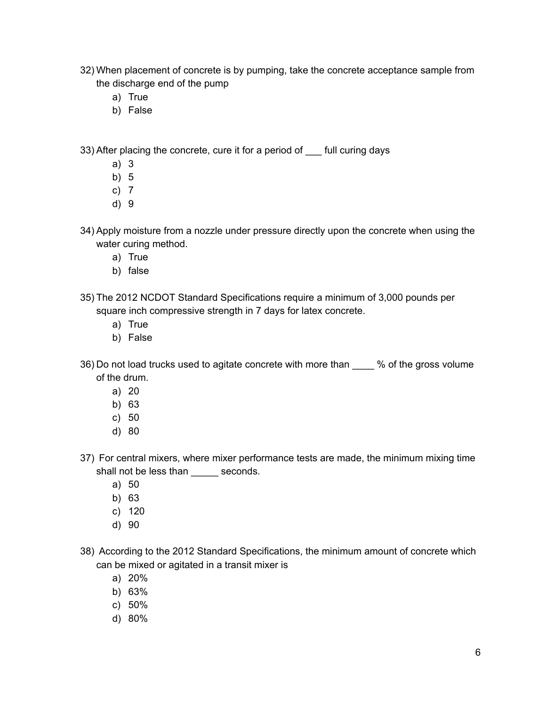- 32) When placement of concrete is by pumping, take the concrete acceptance sample from the discharge end of the pump
	- a) True
	- b) False

33) After placing the concrete, cure it for a period of full curing days

- a) 3
- b) 5
- c) 7
- d) 9
- 34) Apply moisture from a nozzle under pressure directly upon the concrete when using the water curing method.
	- a) True
	- b) false
- 35) The 2012 NCDOT Standard Specifications require a minimum of 3,000 pounds per square inch compressive strength in 7 days for latex concrete.
	- a) True
	- b) False
- 36) Do not load trucks used to agitate concrete with more than 40 % of the gross volume of the drum.
	- a) 20
	- b) 63
	- c) 50
	- d) 80
- 37) For central mixers, where mixer performance tests are made, the minimum mixing time shall not be less than seconds.
	- a) 50
	- b) 63
	- c) 120
	- d) 90
- 38) According to the 2012 Standard Specifications, the minimum amount of concrete which can be mixed or agitated in a transit mixer is
	- a) 20%
	- b) 63%
	- c) 50%
	- d) 80%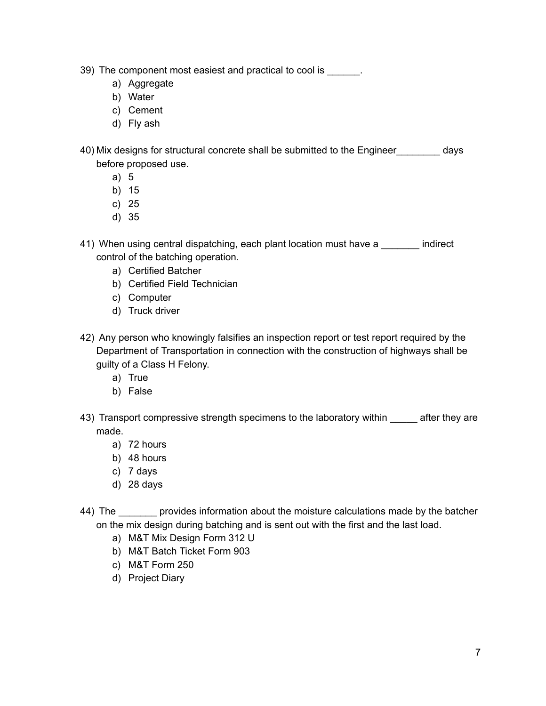39) The component most easiest and practical to cool is  $\qquad \qquad$ .

- a) Aggregate
- b) Water
- c) Cement
- d) Fly ash

40) Mix designs for structural concrete shall be submitted to the Engineer\_\_\_\_\_\_\_\_ days before proposed use.

- a) 5
- b) 15
- c) 25
- d) 35

41) When using central dispatching, each plant location must have a called indirect control of the batching operation.

- a) Certified Batcher
- b) Certified Field Technician
- c) Computer
- d) Truck driver
- 42) Any person who knowingly falsifies an inspection report or test report required by the Department of Transportation in connection with the construction of highways shall be guilty of a Class H Felony.
	- a) True
	- b) False
- 43) Transport compressive strength specimens to the laboratory within after they are made.
	- a) 72 hours
	- b) 48 hours
	- c) 7 days
	- d) 28 days
- 44) The **provides information about the moisture calculations made by the batcher** on the mix design during batching and is sent out with the first and the last load.
	- a) M&T Mix Design Form 312 U
	- b) M&T Batch Ticket Form 903
	- c) M&T Form 250
	- d) Project Diary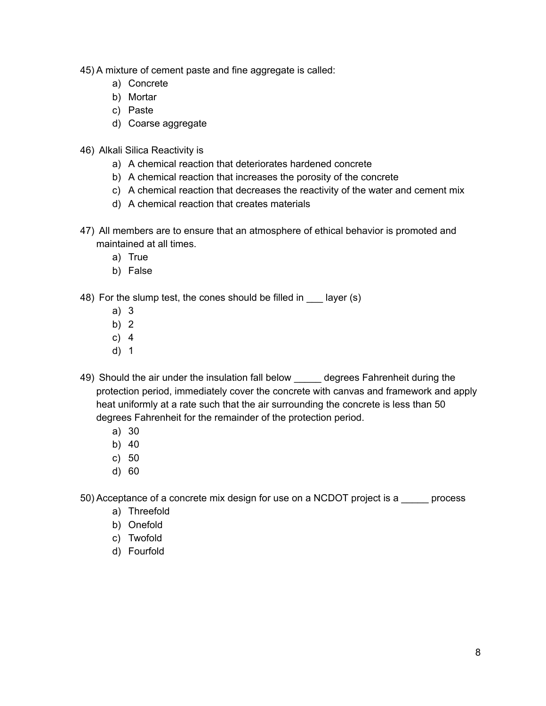- 45) A mixture of cement paste and fine aggregate is called:
	- a) Concrete
	- b) Mortar
	- c) Paste
	- d) Coarse aggregate
- 46) Alkali Silica Reactivity is
	- a) A chemical reaction that deteriorates hardened concrete
	- b) A chemical reaction that increases the porosity of the concrete
	- c) A chemical reaction that decreases the reactivity of the water and cement mix
	- d) A chemical reaction that creates materials
- 47) All members are to ensure that an atmosphere of ethical behavior is promoted and maintained at all times.
	- a) True
	- b) False
- 48) For the slump test, the cones should be filled in layer (s)
	- a) 3
	- b) 2
	- c) 4
	- d) 1
- 49) Should the air under the insulation fall below degrees Fahrenheit during the protection period, immediately cover the concrete with canvas and framework and apply heat uniformly at a rate such that the air surrounding the concrete is less than 50 degrees Fahrenheit for the remainder of the protection period.
	- a) 30
	- b) 40
	- c) 50
	- d) 60

50) Acceptance of a concrete mix design for use on a NCDOT project is a \_\_\_\_\_ process

- a) Threefold
- b) Onefold
- c) Twofold
- d) Fourfold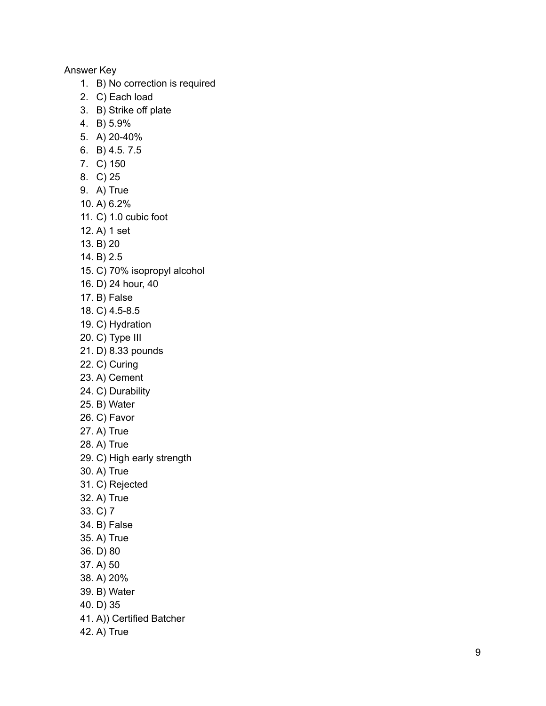## A n s w e r K e y

- 1. B) No correction is required
- 2. C) Each load
- 3. B) Strike off plate
- 4. B ) 5.9 %
- 5. A ) 2 0 4 0 %
- 6. B ) 4.5. 7.5
- 7. C) 150
- 8. C ) 2 5
- 9. A) True
- 1 0. A ) 6.2 %
- 11. C) 1.0 cubic foot
- 12. A) 1 set
- 1 3. B ) 2 0
- 1 4. B ) 2.5
- 15. C) 70% isopropyl alcohol
- 16. D) 24 hour, 40
- 17. B) False
- 18. C) 4.5-8.5
- 19. C) Hydration
- 20. C) Type III
- 21. D) 8.33 pounds
- 22. C) Curing
- 23. A) Cement
- 24. C) Durability
- 25. B) Water
- 26. C) Favor
- 27. A) True
- 28. A) True
- 29. C) High early strength
- 30. A) True
- 31. C) Rejected
- 32. A) True
- 33. C) 7
- 34. B) False
- 35. A) True
- 36. D) 80
- 37. A) 50
- 38. A) 20%
- 39. B) Water
- 40. D) 35
- 41. A)) Certified Batcher
- 42. A) True